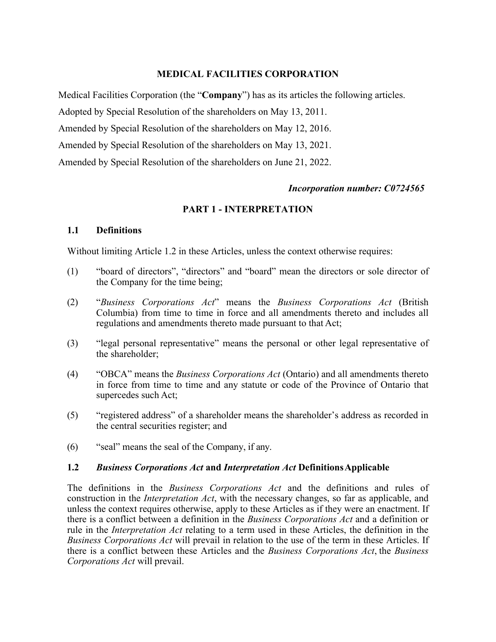# **MEDICAL FACILITIES CORPORATION**

Medical Facilities Corporation (the "**Company**") has as its articles the following articles.

Adopted by Special Resolution of the shareholders on May 13, 2011.

Amended by Special Resolution of the shareholders on May 12, 2016.

Amended by Special Resolution of the shareholders on May 13, 2021.

Amended by Special Resolution of the shareholders on June 21, 2022.

#### *Incorporation number: C0724565*

# **PART 1 - INTERPRETATION**

#### **1.1 Definitions**

Without limiting Article 1.2 in these Articles, unless the context otherwise requires:

- (1) "board of directors", "directors" and "board" mean the directors or sole director of the Company for the time being;
- (2) "*Business Corporations Act*" means the *Business Corporations Act* (British Columbia) from time to time in force and all amendments thereto and includes all regulations and amendments thereto made pursuant to that Act;
- (3) "legal personal representative" means the personal or other legal representative of the shareholder;
- (4) "OBCA" means the *Business Corporations Act* (Ontario) and all amendments thereto in force from time to time and any statute or code of the Province of Ontario that supercedes such Act;
- (5) "registered address" of a shareholder means the shareholder's address as recorded in the central securities register; and
- (6) "seal" means the seal of the Company, if any.

#### **1.2** *Business Corporations Act* **and** *Interpretation Act* **DefinitionsApplicable**

The definitions in the *Business Corporations Act* and the definitions and rules of construction in the *Interpretation Act*, with the necessary changes, so far as applicable, and unless the context requires otherwise, apply to these Articles as if they were an enactment. If there is a conflict between a definition in the *Business Corporations Act* and a definition or rule in the *Interpretation Act* relating to a term used in these Articles, the definition in the *Business Corporations Act* will prevail in relation to the use of the term in these Articles. If there is a conflict between these Articles and the *Business Corporations Act*, the *Business Corporations Act* will prevail.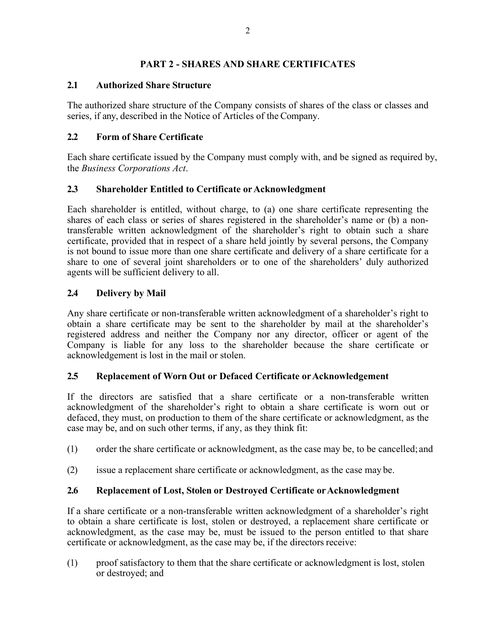### **PART 2 - SHARES AND SHARE CERTIFICATES**

### **2.1 Authorized Share Structure**

The authorized share structure of the Company consists of shares of the class or classes and series, if any, described in the Notice of Articles of the Company.

### **2.2 Form of Share Certificate**

Each share certificate issued by the Company must comply with, and be signed as required by, the *Business Corporations Act*.

### 2.3 **Shareholder Entitled to Certificate or Acknowledgment**

Each shareholder is entitled, without charge, to (a) one share certificate representing the shares of each class or series of shares registered in the shareholder's name or (b) a nontransferable written acknowledgment of the shareholder's right to obtain such a share certificate, provided that in respect of a share held jointly by several persons, the Company is not bound to issue more than one share certificate and delivery of a share certificate for a share to one of several joint shareholders or to one of the shareholders' duly authorized agents will be sufficient delivery to all.

# **2.4 Delivery by Mail**

Any share certificate or non-transferable written acknowledgment of a shareholder's right to obtain a share certificate may be sent to the shareholder by mail at the shareholder's registered address and neither the Company nor any director, officer or agent of the Company is liable for any loss to the shareholder because the share certificate or acknowledgement is lost in the mail or stolen.

#### **2.5 Replacement of Worn Out or Defaced Certificate orAcknowledgement**

If the directors are satisfied that a share certificate or a non-transferable written acknowledgment of the shareholder's right to obtain a share certificate is worn out or defaced, they must, on production to them of the share certificate or acknowledgment, as the case may be, and on such other terms, if any, as they think fit:

- (1) order the share certificate or acknowledgment, as the case may be, to be cancelled; and
- (2) issue a replacement share certificate or acknowledgment, as the case may be.

#### **2.6 Replacement of Lost, Stolen or Destroyed Certificate orAcknowledgment**

If a share certificate or a non-transferable written acknowledgment of a shareholder's right to obtain a share certificate is lost, stolen or destroyed, a replacement share certificate or acknowledgment, as the case may be, must be issued to the person entitled to that share certificate or acknowledgment, as the case may be, if the directors receive:

(1) proof satisfactory to them that the share certificate or acknowledgment is lost, stolen or destroyed; and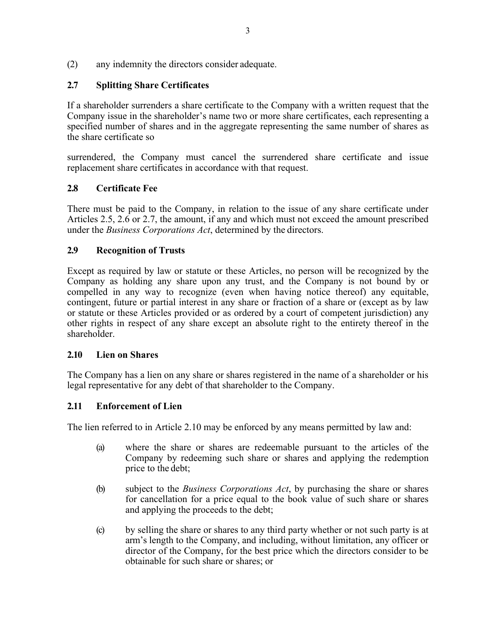(2) any indemnity the directors consider adequate.

# **2.7 Splitting Share Certificates**

If a shareholder surrenders a share certificate to the Company with a written request that the Company issue in the shareholder's name two or more share certificates, each representing a specified number of shares and in the aggregate representing the same number of shares as the share certificate so

surrendered, the Company must cancel the surrendered share certificate and issue replacement share certificates in accordance with that request.

### **2.8 Certificate Fee**

There must be paid to the Company, in relation to the issue of any share certificate under Articles 2.5, 2.6 or 2.7, the amount, if any and which must not exceed the amount prescribed under the *Business Corporations Act*, determined by the directors.

#### **2.9 Recognition of Trusts**

Except as required by law or statute or these Articles, no person will be recognized by the Company as holding any share upon any trust, and the Company is not bound by or compelled in any way to recognize (even when having notice thereof) any equitable, contingent, future or partial interest in any share or fraction of a share or (except as by law or statute or these Articles provided or as ordered by a court of competent jurisdiction) any other rights in respect of any share except an absolute right to the entirety thereof in the shareholder.

#### **2.10 Lien on Shares**

The Company has a lien on any share or shares registered in the name of a shareholder or his legal representative for any debt of that shareholder to the Company.

# **2.11 Enforcement of Lien**

The lien referred to in Article 2.10 may be enforced by any means permitted by law and:

- (a) where the share or shares are redeemable pursuant to the articles of the Company by redeeming such share or shares and applying the redemption price to the debt;
- (b) subject to the *Business Corporations Act*, by purchasing the share or shares for cancellation for a price equal to the book value of such share or shares and applying the proceeds to the debt;
- (c) by selling the share or shares to any third party whether or not such party is at arm's length to the Company, and including, without limitation, any officer or director of the Company, for the best price which the directors consider to be obtainable for such share or shares; or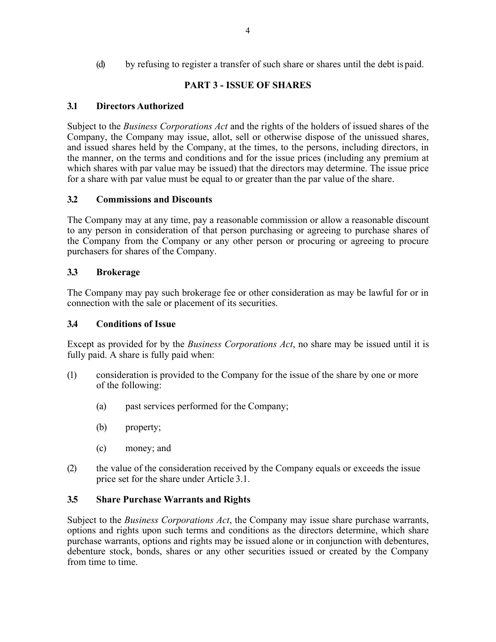(d) by refusing to register a transfer of such share or shares until the debt is paid.

# **PART 3 - ISSUE OF SHARES**

### **3.1 Directors Authorized**

Subject to the *Business Corporations Act* and the rights of the holders of issued shares of the Company, the Company may issue, allot, sell or otherwise dispose of the unissued shares, and issued shares held by the Company, at the times, to the persons, including directors, in the manner, on the terms and conditions and for the issue prices (including any premium at which shares with par value may be issued) that the directors may determine. The issue price for a share with par value must be equal to or greater than the par value of the share.

### **3.2 Commissions and Discounts**

The Company may at any time, pay a reasonable commission or allow a reasonable discount to any person in consideration of that person purchasing or agreeing to purchase shares of the Company from the Company or any other person or procuring or agreeing to procure purchasers for shares of the Company.

### **3.3 Brokerage**

The Company may pay such brokerage fee or other consideration as may be lawful for or in connection with the sale or placement of its securities.

#### **3.4 Conditions of Issue**

Except as provided for by the *Business Corporations Act*, no share may be issued until it is fully paid. A share is fully paid when:

- (1) consideration is provided to the Company for the issue of the share by one or more of the following:
	- (a) past services performed for the Company;
	- (b) property;
	- (c) money; and
- (2) the value of the consideration received by the Company equals or exceeds the issue price set for the share under Article 3.1.

# **3.5 Share Purchase Warrants and Rights**

Subject to the *Business Corporations Act*, the Company may issue share purchase warrants, options and rights upon such terms and conditions as the directors determine, which share purchase warrants, options and rights may be issued alone or in conjunction with debentures, debenture stock, bonds, shares or any other securities issued or created by the Company from time to time.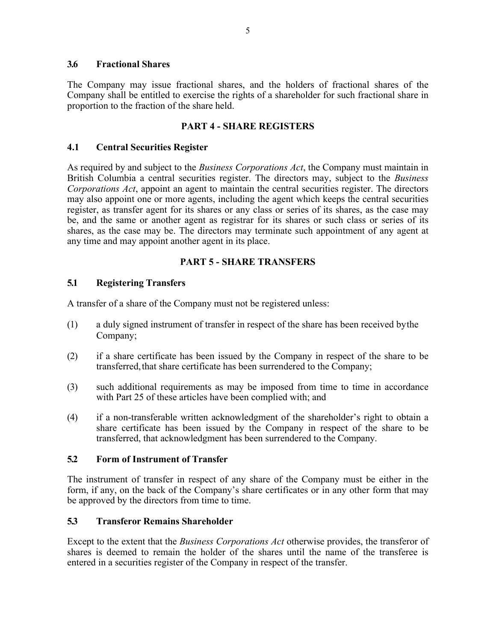#### **3.6 Fractional Shares**

The Company may issue fractional shares, and the holders of fractional shares of the Company shall be entitled to exercise the rights of a shareholder for such fractional share in proportion to the fraction of the share held.

#### **PART 4 - SHARE REGISTERS**

#### **4.1 Central Securities Register**

As required by and subject to the *Business Corporations Act*, the Company must maintain in British Columbia a central securities register. The directors may, subject to the *Business Corporations Act*, appoint an agent to maintain the central securities register. The directors may also appoint one or more agents, including the agent which keeps the central securities register, as transfer agent for its shares or any class or series of its shares, as the case may be, and the same or another agent as registrar for its shares or such class or series of its shares, as the case may be. The directors may terminate such appointment of any agent at any time and may appoint another agent in its place.

### **PART 5 - SHARE TRANSFERS**

### **5.1 Registering Transfers**

A transfer of a share of the Company must not be registered unless:

- (1) a duly signed instrument of transfer in respect of the share has been received bythe Company;
- (2) if a share certificate has been issued by the Company in respect of the share to be transferred, that share certificate has been surrendered to the Company;
- (3) such additional requirements as may be imposed from time to time in accordance with Part 25 of these articles have been complied with; and
- (4) if a non-transferable written acknowledgment of the shareholder's right to obtain a share certificate has been issued by the Company in respect of the share to be transferred, that acknowledgment has been surrendered to the Company.

### **5.2 Form of Instrument of Transfer**

The instrument of transfer in respect of any share of the Company must be either in the form, if any, on the back of the Company's share certificates or in any other form that may be approved by the directors from time to time.

#### **5.3 Transferor Remains Shareholder**

Except to the extent that the *Business Corporations Act* otherwise provides, the transferor of shares is deemed to remain the holder of the shares until the name of the transferee is entered in a securities register of the Company in respect of the transfer.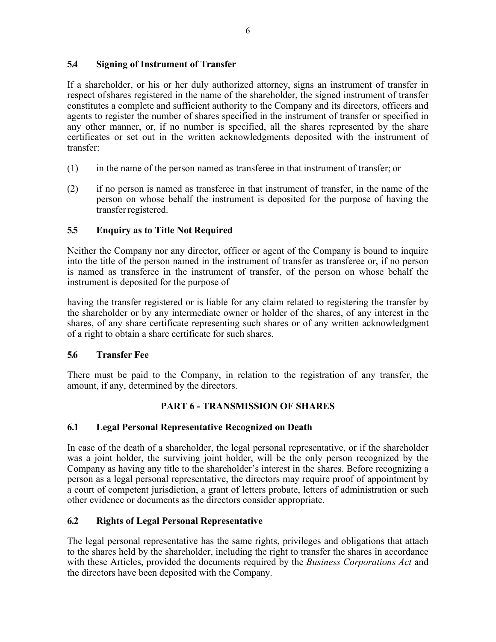### **5.4 Signing of Instrument of Transfer**

If a shareholder, or his or her duly authorized attorney, signs an instrument of transfer in respect ofshares registered in the name of the shareholder, the signed instrument of transfer constitutes a complete and sufficient authority to the Company and its directors, officers and agents to register the number of shares specified in the instrument of transfer or specified in any other manner, or, if no number is specified, all the shares represented by the share certificates or set out in the written acknowledgments deposited with the instrument of transfer:

- (1) in the name of the person named as transferee in that instrument of transfer; or
- (2) if no person is named as transferee in that instrument of transfer, in the name of the person on whose behalf the instrument is deposited for the purpose of having the transferregistered.

# **5.5 Enquiry as to Title Not Required**

Neither the Company nor any director, officer or agent of the Company is bound to inquire into the title of the person named in the instrument of transfer as transferee or, if no person is named as transferee in the instrument of transfer, of the person on whose behalf the instrument is deposited for the purpose of

having the transfer registered or is liable for any claim related to registering the transfer by the shareholder or by any intermediate owner or holder of the shares, of any interest in the shares, of any share certificate representing such shares or of any written acknowledgment of a right to obtain a share certificate for such shares.

# **5.6 Transfer Fee**

There must be paid to the Company, in relation to the registration of any transfer, the amount, if any, determined by the directors.

# **PART 6 - TRANSMISSION OF SHARES**

# **6.1 Legal Personal Representative Recognized on Death**

In case of the death of a shareholder, the legal personal representative, or if the shareholder was a joint holder, the surviving joint holder, will be the only person recognized by the Company as having any title to the shareholder's interest in the shares. Before recognizing a person as a legal personal representative, the directors may require proof of appointment by a court of competent jurisdiction, a grant of letters probate, letters of administration or such other evidence or documents as the directors consider appropriate.

# **6.2 Rights of Legal Personal Representative**

The legal personal representative has the same rights, privileges and obligations that attach to the shares held by the shareholder, including the right to transfer the shares in accordance with these Articles, provided the documents required by the *Business Corporations Act* and the directors have been deposited with the Company.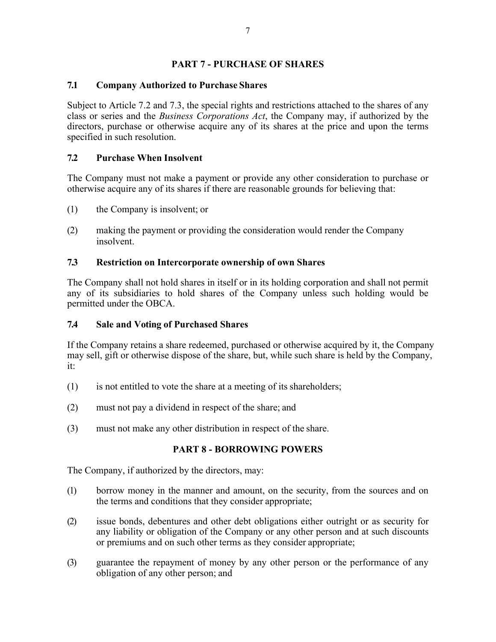### **PART 7 - PURCHASE OF SHARES**

### **7.1 Company Authorized to Purchase Shares**

Subject to Article 7.2 and 7.3, the special rights and restrictions attached to the shares of any class or series and the *Business Corporations Act*, the Company may, if authorized by the directors, purchase or otherwise acquire any of its shares at the price and upon the terms specified in such resolution.

### **7.2 Purchase When Insolvent**

The Company must not make a payment or provide any other consideration to purchase or otherwise acquire any of its shares if there are reasonable grounds for believing that:

- (1) the Company is insolvent; or
- (2) making the payment or providing the consideration would render the Company insolvent.

#### **7.3 Restriction on Intercorporate ownership of own Shares**

The Company shall not hold shares in itself or in its holding corporation and shall not permit any of its subsidiaries to hold shares of the Company unless such holding would be permitted under the OBCA.

#### **7.4 Sale and Voting of Purchased Shares**

If the Company retains a share redeemed, purchased or otherwise acquired by it, the Company may sell, gift or otherwise dispose of the share, but, while such share is held by the Company, it:

- (1) is not entitled to vote the share at a meeting of its shareholders;
- (2) must not pay a dividend in respect of the share; and
- (3) must not make any other distribution in respect of the share.

#### **PART 8 - BORROWING POWERS**

The Company, if authorized by the directors, may:

- (1) borrow money in the manner and amount, on the security, from the sources and on the terms and conditions that they consider appropriate;
- (2) issue bonds, debentures and other debt obligations either outright or as security for any liability or obligation of the Company or any other person and at such discounts or premiums and on such other terms as they consider appropriate;
- (3) guarantee the repayment of money by any other person or the performance of any obligation of any other person; and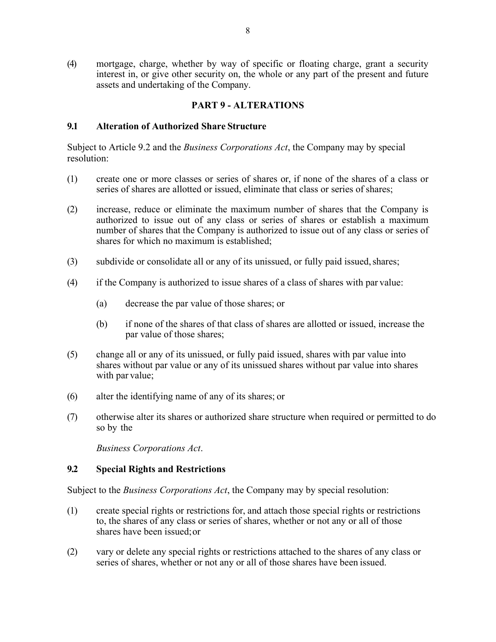(4) mortgage, charge, whether by way of specific or floating charge, grant a security interest in, or give other security on, the whole or any part of the present and future assets and undertaking of the Company.

#### **PART 9 - ALTERATIONS**

#### **9.1 Alteration of Authorized Share Structure**

Subject to Article 9.2 and the *Business Corporations Act*, the Company may by special resolution:

- (1) create one or more classes or series of shares or, if none of the shares of a class or series of shares are allotted or issued, eliminate that class or series of shares;
- (2) increase, reduce or eliminate the maximum number of shares that the Company is authorized to issue out of any class or series of shares or establish a maximum number of shares that the Company is authorized to issue out of any class or series of shares for which no maximum is established;
- (3) subdivide or consolidate all or any of its unissued, or fully paid issued, shares;
- (4) if the Company is authorized to issue shares of a class of shares with par value:
	- (a) decrease the par value of those shares; or
	- (b) if none of the shares of that class of shares are allotted or issued, increase the par value of those shares;
- (5) change all or any of its unissued, or fully paid issued, shares with par value into shares without par value or any of its unissued shares without par value into shares with par value;
- (6) alter the identifying name of any of its shares; or
- (7) otherwise alter its shares or authorized share structure when required or permitted to do so by the

*Business Corporations Act*.

#### **9.2 Special Rights and Restrictions**

Subject to the *Business Corporations Act*, the Company may by special resolution:

- (1) create special rights or restrictions for, and attach those special rights or restrictions to, the shares of any class or series of shares, whether or not any or all of those shares have been issued;or
- (2) vary or delete any special rights or restrictions attached to the shares of any class or series of shares, whether or not any or all of those shares have been issued.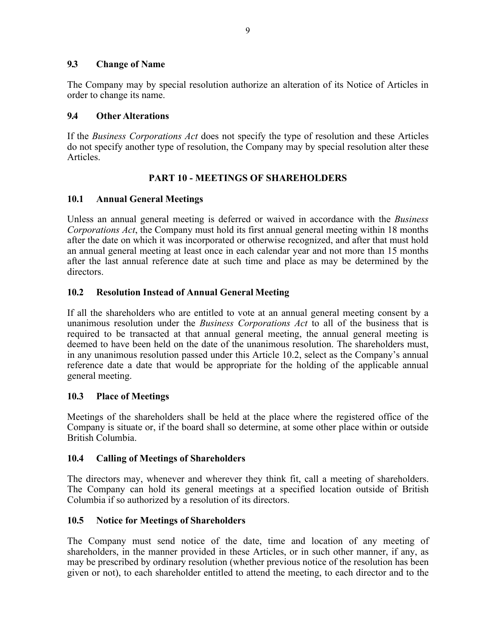#### **9.3 Change of Name**

The Company may by special resolution authorize an alteration of its Notice of Articles in order to change its name.

#### **9.4 Other Alterations**

If the *Business Corporations Act* does not specify the type of resolution and these Articles do not specify another type of resolution, the Company may by special resolution alter these Articles.

#### **PART 10 - MEETINGS OF SHAREHOLDERS**

#### **10.1 Annual General Meetings**

Unless an annual general meeting is deferred or waived in accordance with the *Business Corporations Act*, the Company must hold its first annual general meeting within 18 months after the date on which it was incorporated or otherwise recognized, and after that must hold an annual general meeting at least once in each calendar year and not more than 15 months after the last annual reference date at such time and place as may be determined by the directors.

#### **10.2 Resolution Instead of Annual General Meeting**

If all the shareholders who are entitled to vote at an annual general meeting consent by a unanimous resolution under the *Business Corporations Act* to all of the business that is required to be transacted at that annual general meeting, the annual general meeting is deemed to have been held on the date of the unanimous resolution. The shareholders must, in any unanimous resolution passed under this Article 10.2, select as the Company's annual reference date a date that would be appropriate for the holding of the applicable annual general meeting.

#### **10.3 Place of Meetings**

Meetings of the shareholders shall be held at the place where the registered office of the Company is situate or, if the board shall so determine, at some other place within or outside British Columbia.

#### **10.4 Calling of Meetings of Shareholders**

The directors may, whenever and wherever they think fit, call a meeting of shareholders. The Company can hold its general meetings at a specified location outside of British Columbia if so authorized by a resolution of its directors.

#### **10.5 Notice for Meetings of Shareholders**

The Company must send notice of the date, time and location of any meeting of shareholders, in the manner provided in these Articles, or in such other manner, if any, as may be prescribed by ordinary resolution (whether previous notice of the resolution has been given or not), to each shareholder entitled to attend the meeting, to each director and to the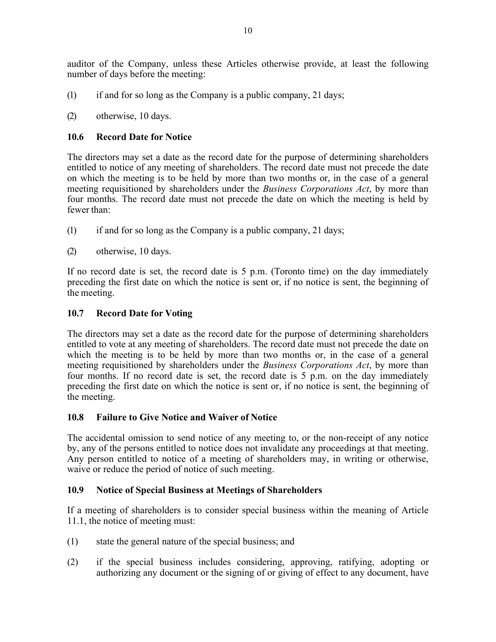auditor of the Company, unless these Articles otherwise provide, at least the following number of days before the meeting:

- (1) if and for so long as the Company is a public company, 21 days;
- (2) otherwise, 10 days.

# **10.6 Record Date for Notice**

The directors may set a date as the record date for the purpose of determining shareholders entitled to notice of any meeting of shareholders. The record date must not precede the date on which the meeting is to be held by more than two months or, in the case of a general meeting requisitioned by shareholders under the *Business Corporations Act*, by more than four months. The record date must not precede the date on which the meeting is held by fewer than:

- (1) if and for so long as the Company is a public company, 21 days;
- (2) otherwise, 10 days.

If no record date is set, the record date is 5 p.m. (Toronto time) on the day immediately preceding the first date on which the notice is sent or, if no notice is sent, the beginning of the meeting.

# **10.7 Record Date for Voting**

The directors may set a date as the record date for the purpose of determining shareholders entitled to vote at any meeting of shareholders. The record date must not precede the date on which the meeting is to be held by more than two months or, in the case of a general meeting requisitioned by shareholders under the *Business Corporations Act*, by more than four months. If no record date is set, the record date is 5 p.m. on the day immediately preceding the first date on which the notice is sent or, if no notice is sent, the beginning of the meeting.

# **10.8 Failure to Give Notice and Waiver of Notice**

The accidental omission to send notice of any meeting to, or the non-receipt of any notice by, any of the persons entitled to notice does not invalidate any proceedings at that meeting. Any person entitled to notice of a meeting of shareholders may, in writing or otherwise, waive or reduce the period of notice of such meeting.

# **10.9 Notice of Special Business at Meetings of Shareholders**

If a meeting of shareholders is to consider special business within the meaning of Article 11.1, the notice of meeting must:

- (1) state the general nature of the special business; and
- (2) if the special business includes considering, approving, ratifying, adopting or authorizing any document or the signing of or giving of effect to any document, have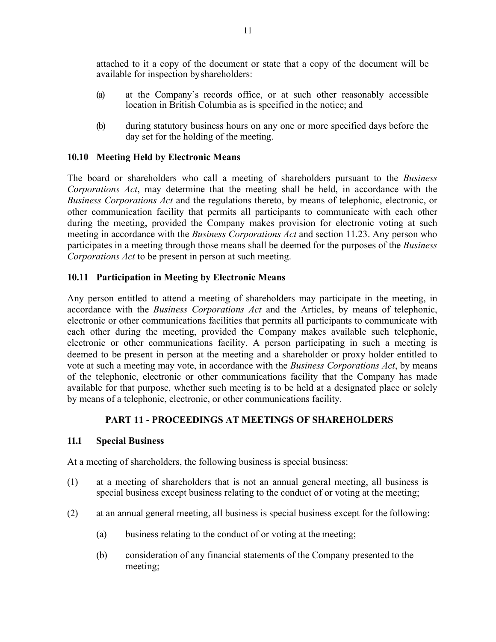attached to it a copy of the document or state that a copy of the document will be available for inspection byshareholders:

- (a) at the Company's records office, or at such other reasonably accessible location in British Columbia as is specified in the notice; and
- (b) during statutory business hours on any one or more specified days before the day set for the holding of the meeting.

### **10.10 Meeting Held by Electronic Means**

The board or shareholders who call a meeting of shareholders pursuant to the *Business Corporations Act*, may determine that the meeting shall be held, in accordance with the *Business Corporations Act* and the regulations thereto, by means of telephonic, electronic, or other communication facility that permits all participants to communicate with each other during the meeting, provided the Company makes provision for electronic voting at such meeting in accordance with the *Business Corporations Act* and section 11.23. Any person who participates in a meeting through those means shall be deemed for the purposes of the *Business Corporations Act* to be present in person at such meeting.

### **10.11 Participation in Meeting by Electronic Means**

Any person entitled to attend a meeting of shareholders may participate in the meeting, in accordance with the *Business Corporations Act* and the Articles, by means of telephonic, electronic or other communications facilities that permits all participants to communicate with each other during the meeting, provided the Company makes available such telephonic, electronic or other communications facility. A person participating in such a meeting is deemed to be present in person at the meeting and a shareholder or proxy holder entitled to vote at such a meeting may vote, in accordance with the *Business Corporations Act*, by means of the telephonic, electronic or other communications facility that the Company has made available for that purpose, whether such meeting is to be held at a designated place or solely by means of a telephonic, electronic, or other communications facility.

#### **PART 11 - PROCEEDINGS AT MEETINGS OF SHAREHOLDERS**

#### **11.1 Special Business**

At a meeting of shareholders, the following business is special business:

- (1) at a meeting of shareholders that is not an annual general meeting, all business is special business except business relating to the conduct of or voting at the meeting;
- (2) at an annual general meeting, all business is special business except for the following:
	- (a) business relating to the conduct of or voting at the meeting;
	- (b) consideration of any financial statements of the Company presented to the meeting;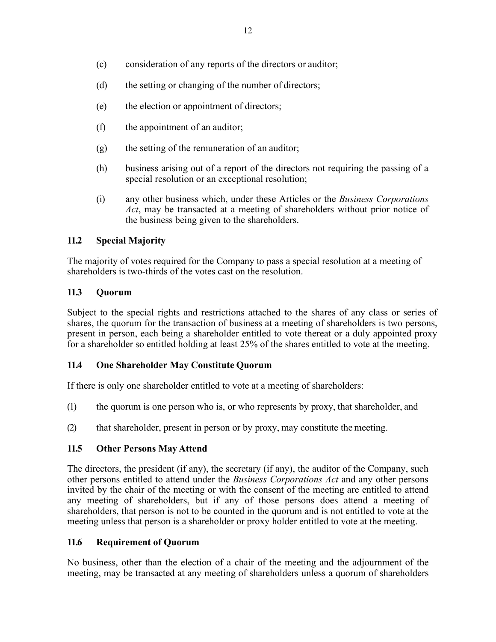- (c) consideration of any reports of the directors or auditor;
- (d) the setting or changing of the number of directors;
- (e) the election or appointment of directors;
- (f) the appointment of an auditor;
- (g) the setting of the remuneration of an auditor;
- (h) business arising out of a report of the directors not requiring the passing of a special resolution or an exceptional resolution;
- (i) any other business which, under these Articles or the *Business Corporations Act*, may be transacted at a meeting of shareholders without prior notice of the business being given to the shareholders.

# **11.2 Special Majority**

The majority of votes required for the Company to pass a special resolution at a meeting of shareholders is two-thirds of the votes cast on the resolution.

### **11.3 Quorum**

Subject to the special rights and restrictions attached to the shares of any class or series of shares, the quorum for the transaction of business at a meeting of shareholders is two persons, present in person, each being a shareholder entitled to vote thereat or a duly appointed proxy for a shareholder so entitled holding at least 25% of the shares entitled to vote at the meeting.

# **11.4 One Shareholder May Constitute Quorum**

If there is only one shareholder entitled to vote at a meeting of shareholders:

- (1) the quorum is one person who is, or who represents by proxy, that shareholder, and
- (2) that shareholder, present in person or by proxy, may constitute the meeting.

# **11.5 Other Persons May Attend**

The directors, the president (if any), the secretary (if any), the auditor of the Company, such other persons entitled to attend under the *Business Corporations Act* and any other persons invited by the chair of the meeting or with the consent of the meeting are entitled to attend any meeting of shareholders, but if any of those persons does attend a meeting of shareholders, that person is not to be counted in the quorum and is not entitled to vote at the meeting unless that person is a shareholder or proxy holder entitled to vote at the meeting.

# **11.6 Requirement of Quorum**

No business, other than the election of a chair of the meeting and the adjournment of the meeting, may be transacted at any meeting of shareholders unless a quorum of shareholders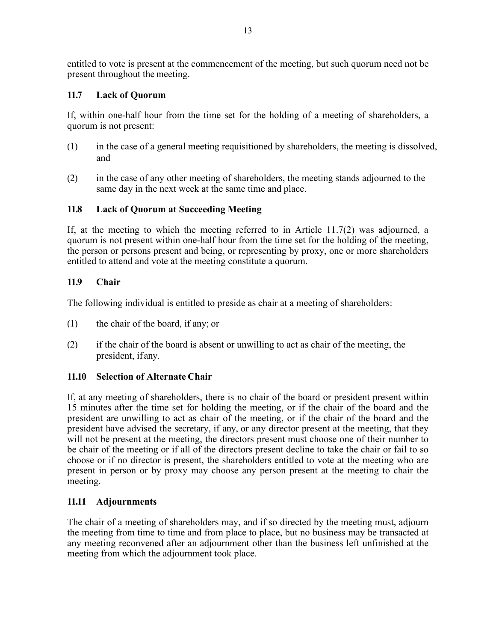entitled to vote is present at the commencement of the meeting, but such quorum need not be present throughout the meeting.

# **11.7 Lack of Quorum**

If, within one-half hour from the time set for the holding of a meeting of shareholders, a quorum is not present:

- (1) in the case of a general meeting requisitioned by shareholders, the meeting is dissolved, and
- (2) in the case of any other meeting of shareholders, the meeting stands adjourned to the same day in the next week at the same time and place.

### **11.8 Lack of Quorum at Succeeding Meeting**

If, at the meeting to which the meeting referred to in Article 11.7(2) was adjourned, a quorum is not present within one-half hour from the time set for the holding of the meeting, the person or persons present and being, or representing by proxy, one or more shareholders entitled to attend and vote at the meeting constitute a quorum.

### **11.9 Chair**

The following individual is entitled to preside as chair at a meeting of shareholders:

- (1) the chair of the board, if any; or
- (2) if the chair of the board is absent or unwilling to act as chair of the meeting, the president, if any.

# **11.10 Selection of Alternate Chair**

If, at any meeting of shareholders, there is no chair of the board or president present within 15 minutes after the time set for holding the meeting, or if the chair of the board and the president are unwilling to act as chair of the meeting, or if the chair of the board and the president have advised the secretary, if any, or any director present at the meeting, that they will not be present at the meeting, the directors present must choose one of their number to be chair of the meeting or if all of the directors present decline to take the chair or fail to so choose or if no director is present, the shareholders entitled to vote at the meeting who are present in person or by proxy may choose any person present at the meeting to chair the meeting.

# **11.11 Adjournments**

The chair of a meeting of shareholders may, and if so directed by the meeting must, adjourn the meeting from time to time and from place to place, but no business may be transacted at any meeting reconvened after an adjournment other than the business left unfinished at the meeting from which the adjournment took place.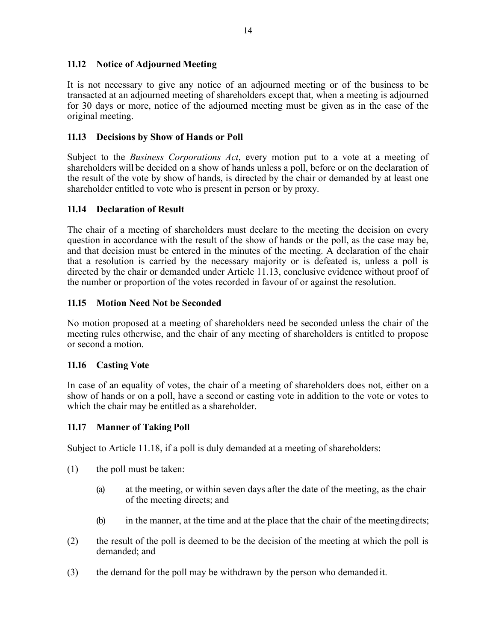# **11.12 Notice of Adjourned Meeting**

It is not necessary to give any notice of an adjourned meeting or of the business to be transacted at an adjourned meeting of shareholders except that, when a meeting is adjourned for 30 days or more, notice of the adjourned meeting must be given as in the case of the original meeting.

### **11.13 Decisions by Show of Hands or Poll**

Subject to the *Business Corporations Act*, every motion put to a vote at a meeting of shareholders will be decided on a show of hands unless a poll, before or on the declaration of the result of the vote by show of hands, is directed by the chair or demanded by at least one shareholder entitled to vote who is present in person or by proxy.

#### **11.14 Declaration of Result**

The chair of a meeting of shareholders must declare to the meeting the decision on every question in accordance with the result of the show of hands or the poll, as the case may be, and that decision must be entered in the minutes of the meeting. A declaration of the chair that a resolution is carried by the necessary majority or is defeated is, unless a poll is directed by the chair or demanded under Article 11.13, conclusive evidence without proof of the number or proportion of the votes recorded in favour of or against the resolution.

### **11.15 Motion Need Not be Seconded**

No motion proposed at a meeting of shareholders need be seconded unless the chair of the meeting rules otherwise, and the chair of any meeting of shareholders is entitled to propose or second a motion.

#### **11.16 Casting Vote**

In case of an equality of votes, the chair of a meeting of shareholders does not, either on a show of hands or on a poll, have a second or casting vote in addition to the vote or votes to which the chair may be entitled as a shareholder.

#### **11.17 Manner of Taking Poll**

Subject to Article 11.18, if a poll is duly demanded at a meeting of shareholders:

- (1) the poll must be taken:
	- (a) at the meeting, or within seven days after the date of the meeting, as the chair of the meeting directs; and
	- (b) in the manner, at the time and at the place that the chair of the meetingdirects;
- (2) the result of the poll is deemed to be the decision of the meeting at which the poll is demanded; and
- (3) the demand for the poll may be withdrawn by the person who demanded it.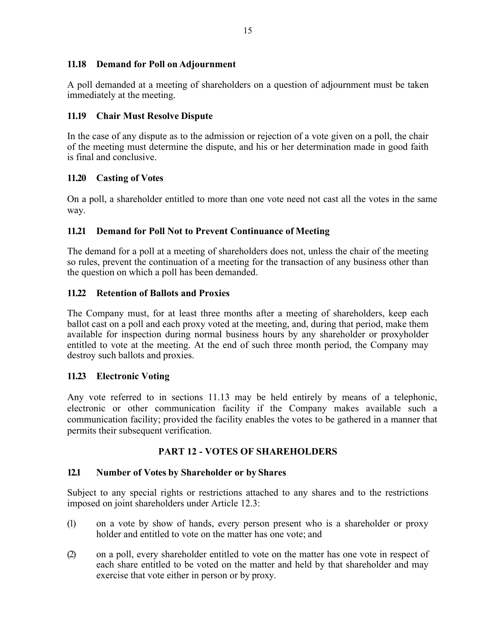### **11.18 Demand for Poll on Adjournment**

A poll demanded at a meeting of shareholders on a question of adjournment must be taken immediately at the meeting.

# **11.19 Chair Must Resolve Dispute**

In the case of any dispute as to the admission or rejection of a vote given on a poll, the chair of the meeting must determine the dispute, and his or her determination made in good faith is final and conclusive.

### **11.20 Casting of Votes**

On a poll, a shareholder entitled to more than one vote need not cast all the votes in the same way.

### **11.21 Demand for Poll Not to Prevent Continuance of Meeting**

The demand for a poll at a meeting of shareholders does not, unless the chair of the meeting so rules, prevent the continuation of a meeting for the transaction of any business other than the question on which a poll has been demanded.

### **11.22 Retention of Ballots and Proxies**

The Company must, for at least three months after a meeting of shareholders, keep each ballot cast on a poll and each proxy voted at the meeting, and, during that period, make them available for inspection during normal business hours by any shareholder or proxyholder entitled to vote at the meeting. At the end of such three month period, the Company may destroy such ballots and proxies.

# **11.23 Electronic Voting**

Any vote referred to in sections 11.13 may be held entirely by means of a telephonic, electronic or other communication facility if the Company makes available such a communication facility; provided the facility enables the votes to be gathered in a manner that permits their subsequent verification.

# **PART 12 - VOTES OF SHAREHOLDERS**

#### **12.1 Number of Votes by Shareholder or by Shares**

Subject to any special rights or restrictions attached to any shares and to the restrictions imposed on joint shareholders under Article 12.3:

- (1) on a vote by show of hands, every person present who is a shareholder or proxy holder and entitled to vote on the matter has one vote; and
- (2) on a poll, every shareholder entitled to vote on the matter has one vote in respect of each share entitled to be voted on the matter and held by that shareholder and may exercise that vote either in person or by proxy.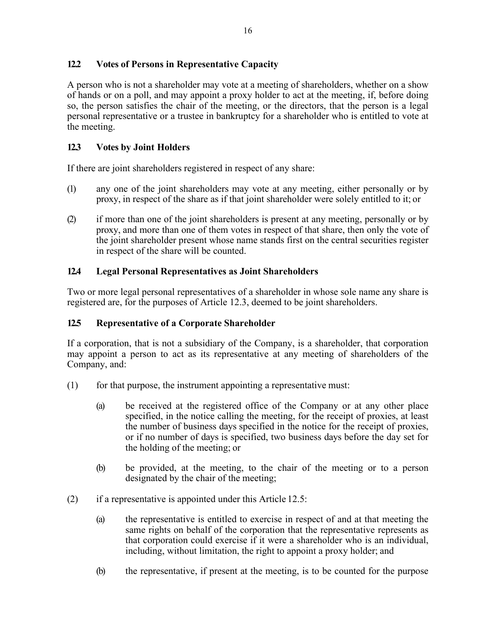# **12.2 Votes of Persons in Representative Capacity**

A person who is not a shareholder may vote at a meeting of shareholders, whether on a show of hands or on a poll, and may appoint a proxy holder to act at the meeting, if, before doing so, the person satisfies the chair of the meeting, or the directors, that the person is a legal personal representative or a trustee in bankruptcy for a shareholder who is entitled to vote at the meeting.

# **12.3 Votes by Joint Holders**

If there are joint shareholders registered in respect of any share:

- (1) any one of the joint shareholders may vote at any meeting, either personally or by proxy, in respect of the share as if that joint shareholder were solely entitled to it; or
- (2) if more than one of the joint shareholders is present at any meeting, personally or by proxy, and more than one of them votes in respect of that share, then only the vote of the joint shareholder present whose name stands first on the central securities register in respect of the share will be counted.

### **12.4 Legal Personal Representatives as Joint Shareholders**

Two or more legal personal representatives of a shareholder in whose sole name any share is registered are, for the purposes of Article 12.3, deemed to be joint shareholders.

#### **12.5 Representative of a Corporate Shareholder**

If a corporation, that is not a subsidiary of the Company, is a shareholder, that corporation may appoint a person to act as its representative at any meeting of shareholders of the Company, and:

- (1) for that purpose, the instrument appointing a representative must:
	- (a) be received at the registered office of the Company or at any other place specified, in the notice calling the meeting, for the receipt of proxies, at least the number of business days specified in the notice for the receipt of proxies, or if no number of days is specified, two business days before the day set for the holding of the meeting; or
	- (b) be provided, at the meeting, to the chair of the meeting or to a person designated by the chair of the meeting;
- $(2)$  if a representative is appointed under this Article 12.5:
	- (a) the representative is entitled to exercise in respect of and at that meeting the same rights on behalf of the corporation that the representative represents as that corporation could exercise if it were a shareholder who is an individual, including, without limitation, the right to appoint a proxy holder; and
	- (b) the representative, if present at the meeting, is to be counted for the purpose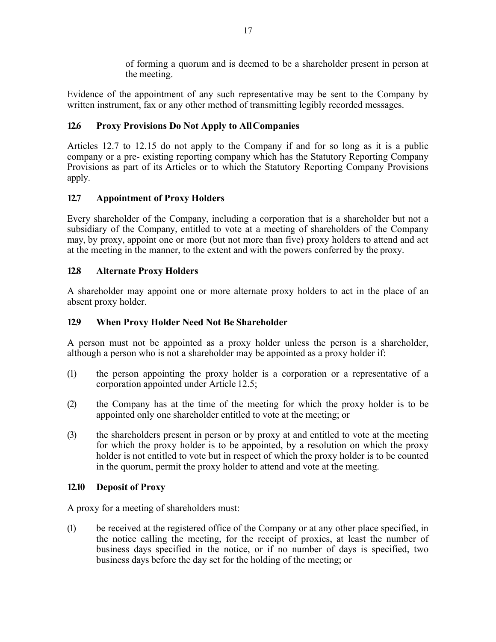of forming a quorum and is deemed to be a shareholder present in person at the meeting.

Evidence of the appointment of any such representative may be sent to the Company by written instrument, fax or any other method of transmitting legibly recorded messages.

# **12.6 Proxy Provisions Do Not Apply to AllCompanies**

Articles 12.7 to 12.15 do not apply to the Company if and for so long as it is a public company or a pre- existing reporting company which has the Statutory Reporting Company Provisions as part of its Articles or to which the Statutory Reporting Company Provisions apply.

# **12.7 Appointment of Proxy Holders**

Every shareholder of the Company, including a corporation that is a shareholder but not a subsidiary of the Company, entitled to vote at a meeting of shareholders of the Company may, by proxy, appoint one or more (but not more than five) proxy holders to attend and act at the meeting in the manner, to the extent and with the powers conferred by the proxy.

# **12.8 Alternate Proxy Holders**

A shareholder may appoint one or more alternate proxy holders to act in the place of an absent proxy holder.

# **12.9 When Proxy Holder Need Not Be Shareholder**

A person must not be appointed as a proxy holder unless the person is a shareholder, although a person who is not a shareholder may be appointed as a proxy holder if:

- (1) the person appointing the proxy holder is a corporation or a representative of a corporation appointed under Article 12.5;
- (2) the Company has at the time of the meeting for which the proxy holder is to be appointed only one shareholder entitled to vote at the meeting; or
- (3) the shareholders present in person or by proxy at and entitled to vote at the meeting for which the proxy holder is to be appointed, by a resolution on which the proxy holder is not entitled to vote but in respect of which the proxy holder is to be counted in the quorum, permit the proxy holder to attend and vote at the meeting.

# **12.10 Deposit of Proxy**

A proxy for a meeting of shareholders must:

(1) be received at the registered office of the Company or at any other place specified, in the notice calling the meeting, for the receipt of proxies, at least the number of business days specified in the notice, or if no number of days is specified, two business days before the day set for the holding of the meeting; or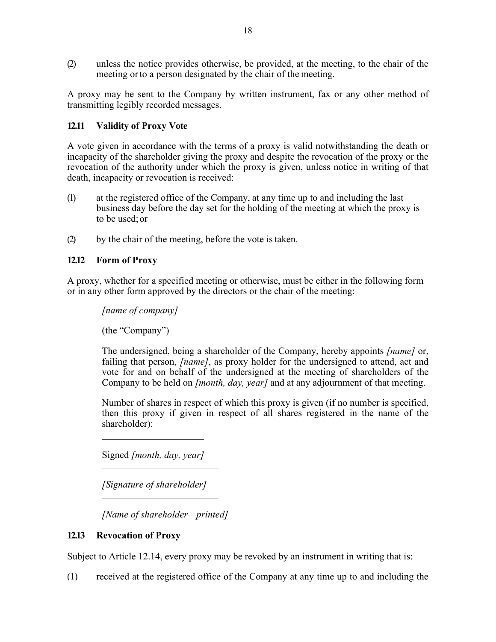(2) unless the notice provides otherwise, be provided, at the meeting, to the chair of the meeting orto a person designated by the chair of the meeting.

A proxy may be sent to the Company by written instrument, fax or any other method of transmitting legibly recorded messages.

### **12.11 Validity of Proxy Vote**

A vote given in accordance with the terms of a proxy is valid notwithstanding the death or incapacity of the shareholder giving the proxy and despite the revocation of the proxy or the revocation of the authority under which the proxy is given, unless notice in writing of that death, incapacity or revocation is received:

- (1) at the registered office of the Company, at any time up to and including the last business day before the day set for the holding of the meeting at which the proxy is to be used;or
- (2) by the chair of the meeting, before the vote istaken.

### **12.12 Form of Proxy**

A proxy, whether for a specified meeting or otherwise, must be either in the following form or in any other form approved by the directors or the chair of the meeting:

*[name of company]*

(the "Company")

The undersigned, being a shareholder of the Company, hereby appoints *[name]* or, failing that person, *[name]*, as proxy holder for the undersigned to attend, act and vote for and on behalf of the undersigned at the meeting of shareholders of the Company to be held on *[month, day, year]* and at any adjournment of that meeting.

Number of shares in respect of which this proxy is given (if no number is specified, then this proxy if given in respect of all shares registered in the name of the shareholder):

Signed *[month, day, year]*

*[Signature of shareholder]*

*[Name of shareholder—printed]*

#### **12.13 Revocation of Proxy**

Subject to Article 12.14, every proxy may be revoked by an instrument in writing that is:

(1) received at the registered office of the Company at any time up to and including the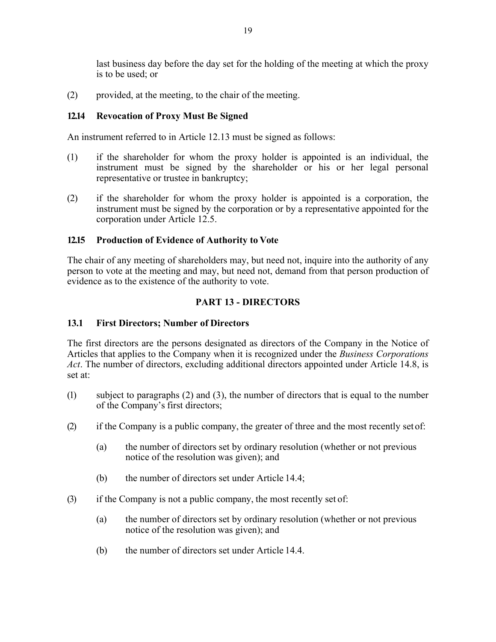last business day before the day set for the holding of the meeting at which the proxy is to be used; or

(2) provided, at the meeting, to the chair of the meeting.

# **12.14 Revocation of Proxy Must Be Signed**

An instrument referred to in Article 12.13 must be signed as follows:

- (1) if the shareholder for whom the proxy holder is appointed is an individual, the instrument must be signed by the shareholder or his or her legal personal representative or trustee in bankruptcy;
- (2) if the shareholder for whom the proxy holder is appointed is a corporation, the instrument must be signed by the corporation or by a representative appointed for the corporation under Article 12.5.

### **12.15 Production of Evidence of Authority to Vote**

The chair of any meeting of shareholders may, but need not, inquire into the authority of any person to vote at the meeting and may, but need not, demand from that person production of evidence as to the existence of the authority to vote.

# **PART 13 - DIRECTORS**

### **13.1 First Directors; Number of Directors**

The first directors are the persons designated as directors of the Company in the Notice of Articles that applies to the Company when it is recognized under the *Business Corporations Act*. The number of directors, excluding additional directors appointed under Article 14.8, is set at:

- (1) subject to paragraphs (2) and (3), the number of directors that is equal to the number of the Company's first directors;
- (2) if the Company is a public company, the greater of three and the most recently set of:
	- (a) the number of directors set by ordinary resolution (whether or not previous notice of the resolution was given); and
	- (b) the number of directors set under Article 14.4;
- (3) if the Company is not a public company, the most recently set of:
	- (a) the number of directors set by ordinary resolution (whether or not previous notice of the resolution was given); and
	- (b) the number of directors set under Article 14.4.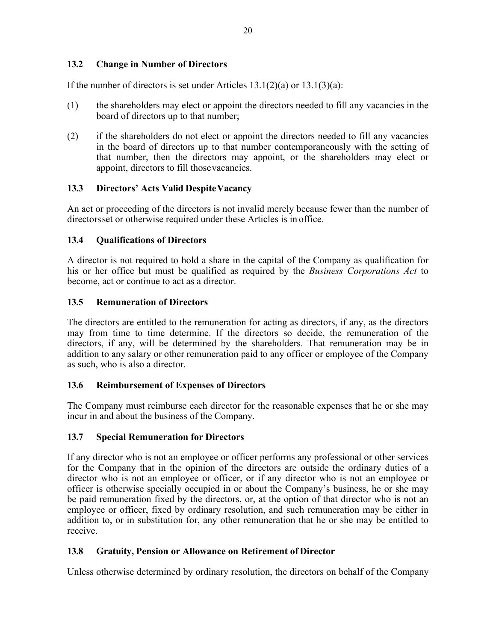# **13.2 Change in Number of Directors**

If the number of directors is set under Articles  $13.1(2)(a)$  or  $13.1(3)(a)$ :

- (1) the shareholders may elect or appoint the directors needed to fill any vacancies in the board of directors up to that number;
- (2) if the shareholders do not elect or appoint the directors needed to fill any vacancies in the board of directors up to that number contemporaneously with the setting of that number, then the directors may appoint, or the shareholders may elect or appoint, directors to fill thosevacancies.

#### **13.3 Directors' Acts Valid DespiteVacancy**

An act or proceeding of the directors is not invalid merely because fewer than the number of directorsset or otherwise required under these Articles is in office.

#### **13.4 Qualifications of Directors**

A director is not required to hold a share in the capital of the Company as qualification for his or her office but must be qualified as required by the *Business Corporations Act* to become, act or continue to act as a director.

#### **13.5 Remuneration of Directors**

The directors are entitled to the remuneration for acting as directors, if any, as the directors may from time to time determine. If the directors so decide, the remuneration of the directors, if any, will be determined by the shareholders. That remuneration may be in addition to any salary or other remuneration paid to any officer or employee of the Company as such, who is also a director.

#### **13.6 Reimbursement of Expenses of Directors**

The Company must reimburse each director for the reasonable expenses that he or she may incur in and about the business of the Company.

#### **13.7 Special Remuneration for Directors**

If any director who is not an employee or officer performs any professional or other services for the Company that in the opinion of the directors are outside the ordinary duties of a director who is not an employee or officer, or if any director who is not an employee or officer is otherwise specially occupied in or about the Company's business, he or she may be paid remuneration fixed by the directors, or, at the option of that director who is not an employee or officer, fixed by ordinary resolution, and such remuneration may be either in addition to, or in substitution for, any other remuneration that he or she may be entitled to receive.

#### **13.8 Gratuity, Pension or Allowance on Retirement of Director**

Unless otherwise determined by ordinary resolution, the directors on behalf of the Company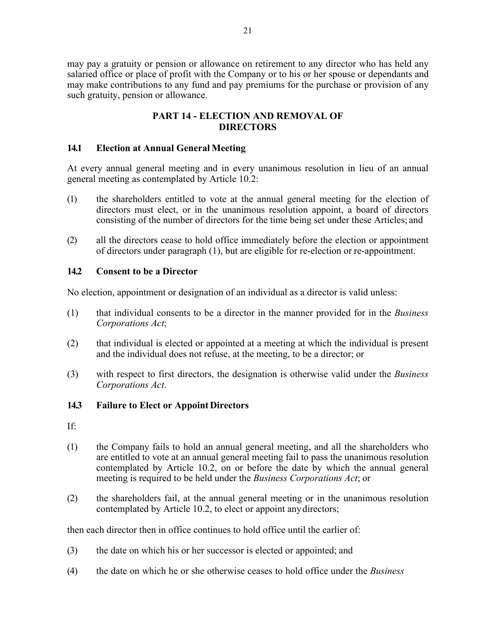may pay a gratuity or pension or allowance on retirement to any director who has held any salaried office or place of profit with the Company or to his or her spouse or dependants and may make contributions to any fund and pay premiums for the purchase or provision of any such gratuity, pension or allowance.

# **PART 14 - ELECTION AND REMOVAL OF DIRECTORS**

#### **14.1 Election at Annual General Meeting**

At every annual general meeting and in every unanimous resolution in lieu of an annual general meeting as contemplated by Article 10.2:

- (1) the shareholders entitled to vote at the annual general meeting for the election of directors must elect, or in the unanimous resolution appoint, a board of directors consisting of the number of directors for the time being set under these Articles; and
- (2) all the directors cease to hold office immediately before the election or appointment of directors under paragraph (1), but are eligible for re-election or re-appointment.

#### **14.2 Consent to be a Director**

No election, appointment or designation of an individual as a director is valid unless:

- (1) that individual consents to be a director in the manner provided for in the *Business Corporations Act*;
- (2) that individual is elected or appointed at a meeting at which the individual is present and the individual does not refuse, at the meeting, to be a director; or
- (3) with respect to first directors, the designation is otherwise valid under the *Business Corporations Act*.

#### **14.3 Failure to Elect or AppointDirectors**

If:

- (1) the Company fails to hold an annual general meeting, and all the shareholders who are entitled to vote at an annual general meeting fail to pass the unanimous resolution contemplated by Article 10.2, on or before the date by which the annual general meeting is required to be held under the *Business Corporations Act*; or
- (2) the shareholders fail, at the annual general meeting or in the unanimous resolution contemplated by Article 10.2, to elect or appoint anydirectors;

then each director then in office continues to hold office until the earlier of:

- (3) the date on which his or her successor is elected or appointed; and
- (4) the date on which he or she otherwise ceases to hold office under the *Business*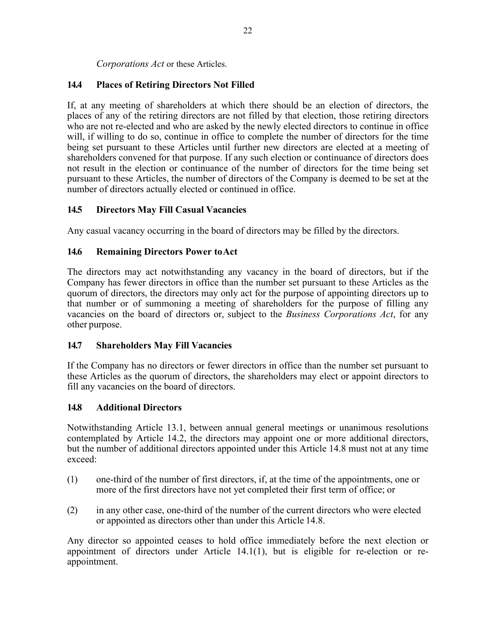*Corporations Act* or these Articles.

# **14.4 Places of Retiring Directors Not Filled**

If, at any meeting of shareholders at which there should be an election of directors, the places of any of the retiring directors are not filled by that election, those retiring directors who are not re-elected and who are asked by the newly elected directors to continue in office will, if willing to do so, continue in office to complete the number of directors for the time being set pursuant to these Articles until further new directors are elected at a meeting of shareholders convened for that purpose. If any such election or continuance of directors does not result in the election or continuance of the number of directors for the time being set pursuant to these Articles, the number of directors of the Company is deemed to be set at the number of directors actually elected or continued in office.

### **14.5 Directors May Fill Casual Vacancies**

Any casual vacancy occurring in the board of directors may be filled by the directors.

### **14.6 Remaining Directors Power toAct**

The directors may act notwithstanding any vacancy in the board of directors, but if the Company has fewer directors in office than the number set pursuant to these Articles as the quorum of directors, the directors may only act for the purpose of appointing directors up to that number or of summoning a meeting of shareholders for the purpose of filling any vacancies on the board of directors or, subject to the *Business Corporations Act*, for any other purpose.

#### **14.7 Shareholders May Fill Vacancies**

If the Company has no directors or fewer directors in office than the number set pursuant to these Articles as the quorum of directors, the shareholders may elect or appoint directors to fill any vacancies on the board of directors.

#### **14.8 Additional Directors**

Notwithstanding Article 13.1, between annual general meetings or unanimous resolutions contemplated by Article 14.2, the directors may appoint one or more additional directors, but the number of additional directors appointed under this Article 14.8 must not at any time exceed:

- (1) one-third of the number of first directors, if, at the time of the appointments, one or more of the first directors have not yet completed their first term of office; or
- (2) in any other case, one-third of the number of the current directors who were elected or appointed as directors other than under this Article 14.8.

Any director so appointed ceases to hold office immediately before the next election or appointment of directors under Article 14.1(1), but is eligible for re-election or reappointment.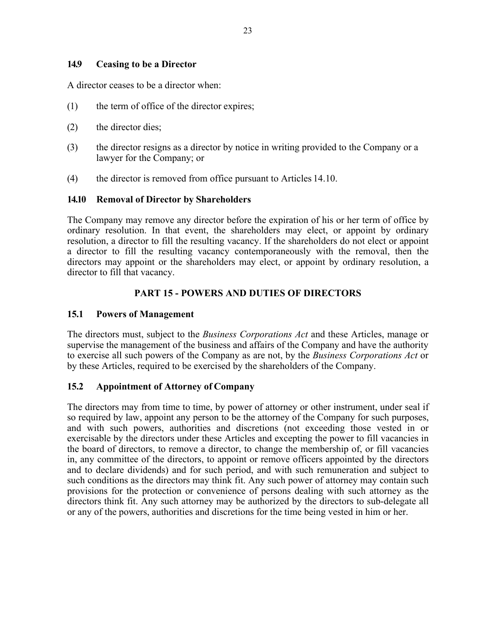#### **14.9 Ceasing to be a Director**

A director ceases to be a director when:

- (1) the term of office of the director expires;
- (2) the director dies;
- (3) the director resigns as a director by notice in writing provided to the Company or a lawyer for the Company; or
- (4) the director is removed from office pursuant to Articles 14.10.

#### **14.10 Removal of Director by Shareholders**

The Company may remove any director before the expiration of his or her term of office by ordinary resolution. In that event, the shareholders may elect, or appoint by ordinary resolution, a director to fill the resulting vacancy. If the shareholders do not elect or appoint a director to fill the resulting vacancy contemporaneously with the removal, then the directors may appoint or the shareholders may elect, or appoint by ordinary resolution, a director to fill that vacancy.

#### **PART 15 - POWERS AND DUTIES OF DIRECTORS**

#### **15.1 Powers of Management**

The directors must, subject to the *Business Corporations Act* and these Articles, manage or supervise the management of the business and affairs of the Company and have the authority to exercise all such powers of the Company as are not, by the *Business Corporations Act* or by these Articles, required to be exercised by the shareholders of the Company.

#### **15.2 Appointment of Attorney of Company**

The directors may from time to time, by power of attorney or other instrument, under seal if so required by law, appoint any person to be the attorney of the Company for such purposes, and with such powers, authorities and discretions (not exceeding those vested in or exercisable by the directors under these Articles and excepting the power to fill vacancies in the board of directors, to remove a director, to change the membership of, or fill vacancies in, any committee of the directors, to appoint or remove officers appointed by the directors and to declare dividends) and for such period, and with such remuneration and subject to such conditions as the directors may think fit. Any such power of attorney may contain such provisions for the protection or convenience of persons dealing with such attorney as the directors think fit. Any such attorney may be authorized by the directors to sub-delegate all or any of the powers, authorities and discretions for the time being vested in him or her.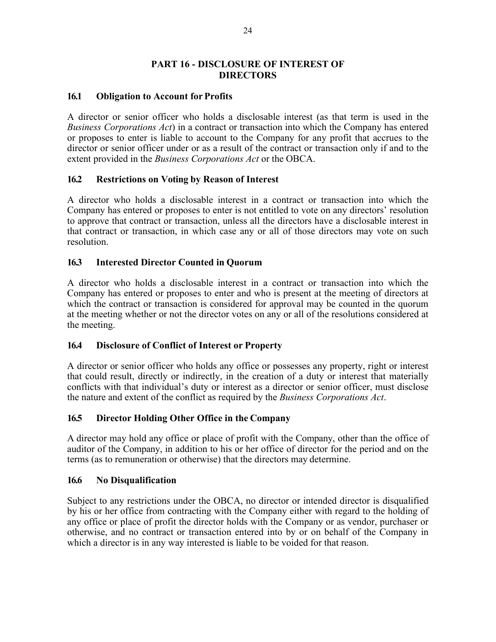### **PART 16 - DISCLOSURE OF INTEREST OF DIRECTORS**

#### **16.1 Obligation to Account for Profits**

A director or senior officer who holds a disclosable interest (as that term is used in the *Business Corporations Act*) in a contract or transaction into which the Company has entered or proposes to enter is liable to account to the Company for any profit that accrues to the director or senior officer under or as a result of the contract or transaction only if and to the extent provided in the *Business Corporations Act* or the OBCA.

#### **16.2 Restrictions on Voting by Reason of Interest**

A director who holds a disclosable interest in a contract or transaction into which the Company has entered or proposes to enter is not entitled to vote on any directors' resolution to approve that contract or transaction, unless all the directors have a disclosable interest in that contract or transaction, in which case any or all of those directors may vote on such resolution.

#### **16.3 Interested Director Counted in Quorum**

A director who holds a disclosable interest in a contract or transaction into which the Company has entered or proposes to enter and who is present at the meeting of directors at which the contract or transaction is considered for approval may be counted in the quorum at the meeting whether or not the director votes on any or all of the resolutions considered at the meeting.

#### **16.4 Disclosure of Conflict of Interest or Property**

A director or senior officer who holds any office or possesses any property, right or interest that could result, directly or indirectly, in the creation of a duty or interest that materially conflicts with that individual's duty or interest as a director or senior officer, must disclose the nature and extent of the conflict as required by the *Business Corporations Act*.

#### **16.5 Director Holding Other Office in the Company**

A director may hold any office or place of profit with the Company, other than the office of auditor of the Company, in addition to his or her office of director for the period and on the terms (as to remuneration or otherwise) that the directors may determine.

#### **16.6 No Disqualification**

Subject to any restrictions under the OBCA, no director or intended director is disqualified by his or her office from contracting with the Company either with regard to the holding of any office or place of profit the director holds with the Company or as vendor, purchaser or otherwise, and no contract or transaction entered into by or on behalf of the Company in which a director is in any way interested is liable to be voided for that reason.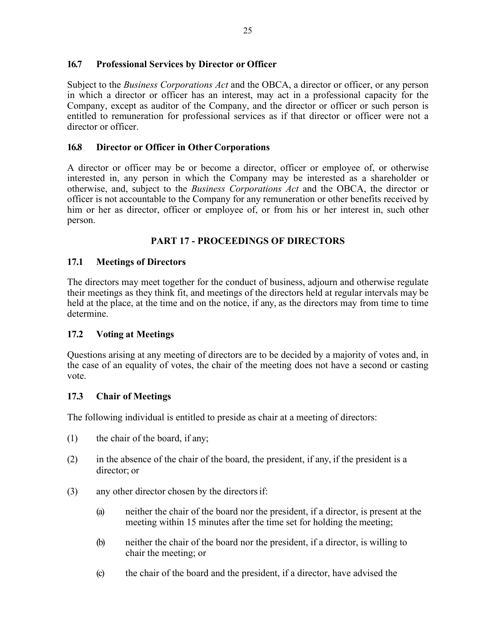### **16.7 Professional Services by Director or Officer**

Subject to the *Business Corporations Act* and the OBCA, a director or officer, or any person in which a director or officer has an interest, may act in a professional capacity for the Company, except as auditor of the Company, and the director or officer or such person is entitled to remuneration for professional services as if that director or officer were not a director or officer.

### **16.8 Director or Officer in Other Corporations**

A director or officer may be or become a director, officer or employee of, or otherwise interested in, any person in which the Company may be interested as a shareholder or otherwise, and, subject to the *Business Corporations Act* and the OBCA, the director or officer is not accountable to the Company for any remuneration or other benefits received by him or her as director, officer or employee of, or from his or her interest in, such other person.

# **PART 17 - PROCEEDINGS OF DIRECTORS**

### **17.1 Meetings of Directors**

The directors may meet together for the conduct of business, adjourn and otherwise regulate their meetings as they think fit, and meetings of the directors held at regular intervals may be held at the place, at the time and on the notice, if any, as the directors may from time to time determine.

#### **17.2 Voting at Meetings**

Questions arising at any meeting of directors are to be decided by a majority of votes and, in the case of an equality of votes, the chair of the meeting does not have a second or casting vote.

#### **17.3 Chair of Meetings**

The following individual is entitled to preside as chair at a meeting of directors:

- $(1)$  the chair of the board, if any;
- (2) in the absence of the chair of the board, the president, if any, if the president is a director; or
- (3) any other director chosen by the directorsif:
	- (a) neither the chair of the board nor the president, if a director, is present at the meeting within 15 minutes after the time set for holding the meeting;
	- (b) neither the chair of the board nor the president, if a director, is willing to chair the meeting; or
	- (c) the chair of the board and the president, if a director, have advised the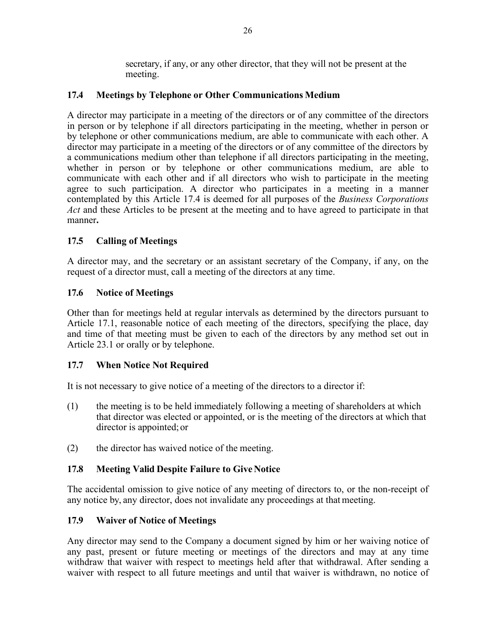secretary, if any, or any other director, that they will not be present at the meeting.

### **17.4 Meetings by Telephone or Other Communications Medium**

A director may participate in a meeting of the directors or of any committee of the directors in person or by telephone if all directors participating in the meeting, whether in person or by telephone or other communications medium, are able to communicate with each other. A director may participate in a meeting of the directors or of any committee of the directors by a communications medium other than telephone if all directors participating in the meeting, whether in person or by telephone or other communications medium, are able to communicate with each other and if all directors who wish to participate in the meeting agree to such participation. A director who participates in a meeting in a manner contemplated by this Article 17.4 is deemed for all purposes of the *Business Corporations Act* and these Articles to be present at the meeting and to have agreed to participate in that manner**.**

# **17.5 Calling of Meetings**

A director may, and the secretary or an assistant secretary of the Company, if any, on the request of a director must, call a meeting of the directors at any time.

### **17.6 Notice of Meetings**

Other than for meetings held at regular intervals as determined by the directors pursuant to Article 17.1, reasonable notice of each meeting of the directors, specifying the place, day and time of that meeting must be given to each of the directors by any method set out in Article 23.1 or orally or by telephone.

#### **17.7 When Notice Not Required**

It is not necessary to give notice of a meeting of the directors to a director if:

- (1) the meeting is to be held immediately following a meeting of shareholders at which that director was elected or appointed, or is the meeting of the directors at which that director is appointed; or
- (2) the director has waived notice of the meeting.

#### **17.8** Meeting Valid Despite Failure to Give Notice

The accidental omission to give notice of any meeting of directors to, or the non-receipt of any notice by, any director, does not invalidate any proceedings at that meeting.

#### **17.9 Waiver of Notice of Meetings**

Any director may send to the Company a document signed by him or her waiving notice of any past, present or future meeting or meetings of the directors and may at any time withdraw that waiver with respect to meetings held after that withdrawal. After sending a waiver with respect to all future meetings and until that waiver is withdrawn, no notice of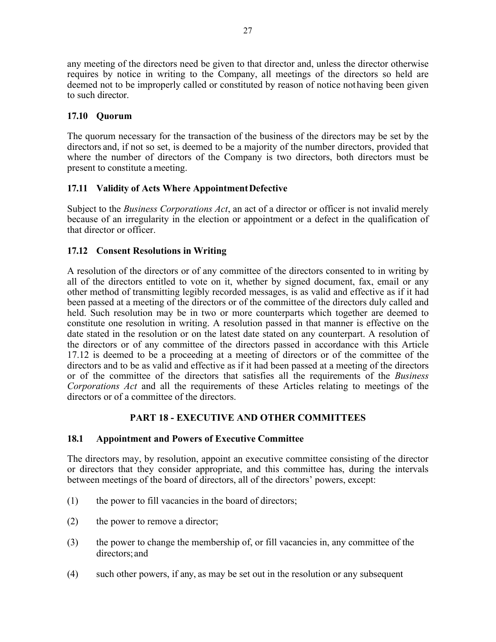any meeting of the directors need be given to that director and, unless the director otherwise requires by notice in writing to the Company, all meetings of the directors so held are deemed not to be improperly called or constituted by reason of notice nothaving been given to such director.

# **17.10 Quorum**

The quorum necessary for the transaction of the business of the directors may be set by the directors and, if not so set, is deemed to be a majority of the number directors, provided that where the number of directors of the Company is two directors, both directors must be present to constitute ameeting.

### **17.11 Validity of Acts Where AppointmentDefective**

Subject to the *Business Corporations Act*, an act of a director or officer is not invalid merely because of an irregularity in the election or appointment or a defect in the qualification of that director or officer.

### **17.12 Consent Resolutions in Writing**

A resolution of the directors or of any committee of the directors consented to in writing by all of the directors entitled to vote on it, whether by signed document, fax, email or any other method of transmitting legibly recorded messages, is as valid and effective as if it had been passed at a meeting of the directors or of the committee of the directors duly called and held. Such resolution may be in two or more counterparts which together are deemed to constitute one resolution in writing. A resolution passed in that manner is effective on the date stated in the resolution or on the latest date stated on any counterpart. A resolution of the directors or of any committee of the directors passed in accordance with this Article 17.12 is deemed to be a proceeding at a meeting of directors or of the committee of the directors and to be as valid and effective as if it had been passed at a meeting of the directors or of the committee of the directors that satisfies all the requirements of the *Business Corporations Act* and all the requirements of these Articles relating to meetings of the directors or of a committee of the directors.

# **PART 18 - EXECUTIVE AND OTHER COMMITTEES**

#### **18.1 Appointment and Powers of Executive Committee**

The directors may, by resolution, appoint an executive committee consisting of the director or directors that they consider appropriate, and this committee has, during the intervals between meetings of the board of directors, all of the directors' powers, except:

- (1) the power to fill vacancies in the board of directors;
- (2) the power to remove a director;
- (3) the power to change the membership of, or fill vacancies in, any committee of the directors;and
- (4) such other powers, if any, as may be set out in the resolution or any subsequent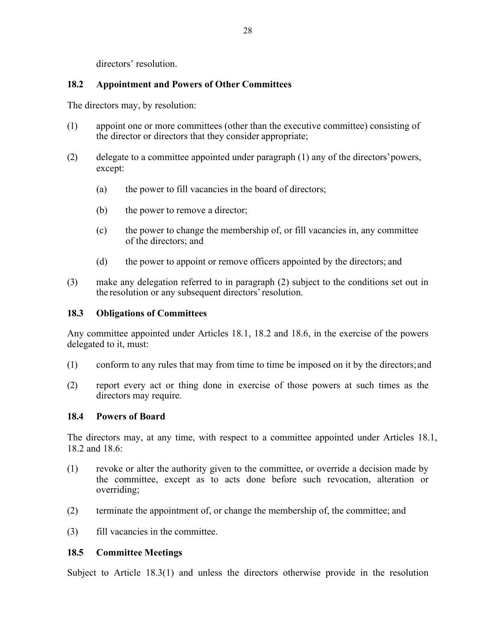directors' resolution.

### **18.2 Appointment and Powers of Other Committees**

The directors may, by resolution:

- (1) appoint one or more committees (other than the executive committee) consisting of the director or directors that they consider appropriate;
- (2) delegate to a committee appointed under paragraph (1) any of the directors'powers, except:
	- (a) the power to fill vacancies in the board of directors;
	- (b) the power to remove a director;
	- (c) the power to change the membership of, or fill vacancies in, any committee of the directors; and
	- (d) the power to appoint or remove officers appointed by the directors; and
- (3) make any delegation referred to in paragraph (2) subject to the conditions set out in the resolution or any subsequent directors'resolution.

### **18.3 Obligations of Committees**

Any committee appointed under Articles 18.1, 18.2 and 18.6, in the exercise of the powers delegated to it, must:

- (1) conform to any rules that may from time to time be imposed on it by the directors;and
- (2) report every act or thing done in exercise of those powers at such times as the directors may require.

#### **18.4 Powers of Board**

The directors may, at any time, with respect to a committee appointed under Articles 18.1, 18.2 and 18.6:

- (1) revoke or alter the authority given to the committee, or override a decision made by the committee, except as to acts done before such revocation, alteration or overriding;
- (2) terminate the appointment of, or change the membership of, the committee; and
- (3) fill vacancies in the committee.

#### **18.5 Committee Meetings**

Subject to Article 18.3(1) and unless the directors otherwise provide in the resolution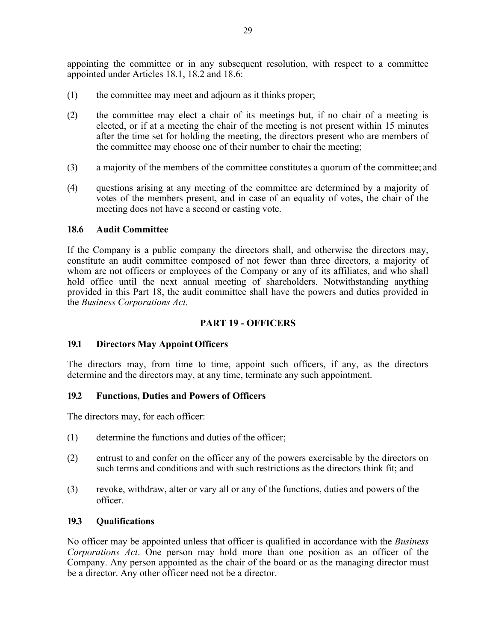appointing the committee or in any subsequent resolution, with respect to a committee appointed under Articles 18.1, 18.2 and 18.6:

- (1) the committee may meet and adjourn as it thinks proper;
- (2) the committee may elect a chair of its meetings but, if no chair of a meeting is elected, or if at a meeting the chair of the meeting is not present within 15 minutes after the time set for holding the meeting, the directors present who are members of the committee may choose one of their number to chair the meeting;
- (3) a majority of the members of the committee constitutes a quorum of the committee; and
- (4) questions arising at any meeting of the committee are determined by a majority of votes of the members present, and in case of an equality of votes, the chair of the meeting does not have a second or casting vote.

#### **18.6 Audit Committee**

If the Company is a public company the directors shall, and otherwise the directors may, constitute an audit committee composed of not fewer than three directors, a majority of whom are not officers or employees of the Company or any of its affiliates, and who shall hold office until the next annual meeting of shareholders. Notwithstanding anything provided in this Part 18, the audit committee shall have the powers and duties provided in the *Business Corporations Act*.

#### **PART 19 - OFFICERS**

#### **19.1 Directors May Appoint Officers**

The directors may, from time to time, appoint such officers, if any, as the directors determine and the directors may, at any time, terminate any such appointment.

#### **19.2 Functions, Duties and Powers of Officers**

The directors may, for each officer:

- (1) determine the functions and duties of the officer;
- (2) entrust to and confer on the officer any of the powers exercisable by the directors on such terms and conditions and with such restrictions as the directors think fit; and
- (3) revoke, withdraw, alter or vary all or any of the functions, duties and powers of the officer.

#### **19.3 Qualifications**

No officer may be appointed unless that officer is qualified in accordance with the *Business Corporations Act*. One person may hold more than one position as an officer of the Company. Any person appointed as the chair of the board or as the managing director must be a director. Any other officer need not be a director.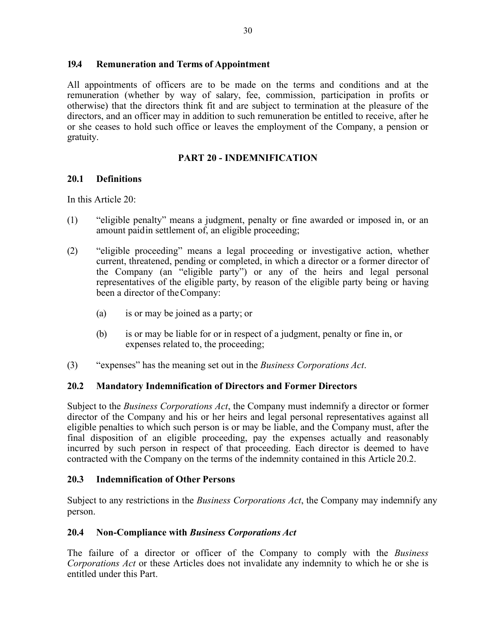### **19.4 Remuneration and Terms of Appointment**

All appointments of officers are to be made on the terms and conditions and at the remuneration (whether by way of salary, fee, commission, participation in profits or otherwise) that the directors think fit and are subject to termination at the pleasure of the directors, and an officer may in addition to such remuneration be entitled to receive, after he or she ceases to hold such office or leaves the employment of the Company, a pension or gratuity.

# **PART 20 - INDEMNIFICATION**

### **20.1 Definitions**

In this Article 20:

- (1) "eligible penalty" means a judgment, penalty or fine awarded or imposed in, or an amount paidin settlement of, an eligible proceeding;
- (2) "eligible proceeding" means a legal proceeding or investigative action, whether current, threatened, pending or completed, in which a director or a former director of the Company (an "eligible party") or any of the heirs and legal personal representatives of the eligible party, by reason of the eligible party being or having been a director of theCompany:
	- (a) is or may be joined as a party; or
	- (b) is or may be liable for or in respect of a judgment, penalty or fine in, or expenses related to, the proceeding;
- (3) "expenses" has the meaning set out in the *Business Corporations Act*.

# **20.2 Mandatory Indemnification of Directors and Former Directors**

Subject to the *Business Corporations Act*, the Company must indemnify a director or former director of the Company and his or her heirs and legal personal representatives against all eligible penalties to which such person is or may be liable, and the Company must, after the final disposition of an eligible proceeding, pay the expenses actually and reasonably incurred by such person in respect of that proceeding. Each director is deemed to have contracted with the Company on the terms of the indemnity contained in this Article 20.2.

#### **20.3 Indemnification of Other Persons**

Subject to any restrictions in the *Business Corporations Act*, the Company may indemnify any person.

# **20.4 Non-Compliance with** *Business Corporations Act*

The failure of a director or officer of the Company to comply with the *Business Corporations Act* or these Articles does not invalidate any indemnity to which he or she is entitled under this Part.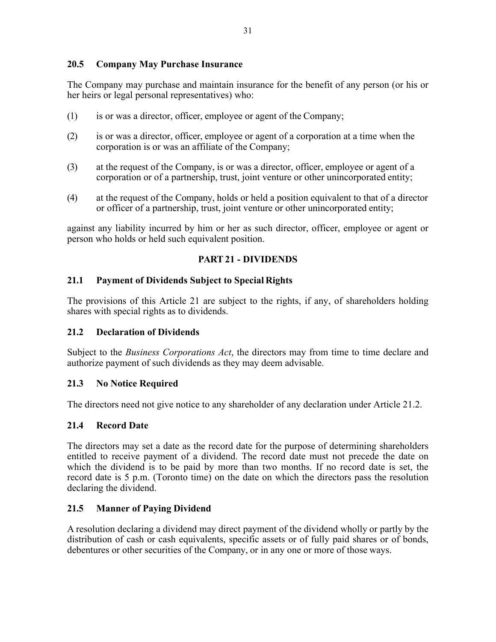# **20.5 Company May Purchase Insurance**

The Company may purchase and maintain insurance for the benefit of any person (or his or her heirs or legal personal representatives) who:

- (1) is or was a director, officer, employee or agent of the Company;
- (2) is or was a director, officer, employee or agent of a corporation at a time when the corporation is or was an affiliate of the Company;
- (3) at the request of the Company, is or was a director, officer, employee or agent of a corporation or of a partnership, trust, joint venture or other unincorporated entity;
- (4) at the request of the Company, holds or held a position equivalent to that of a director or officer of a partnership, trust, joint venture or other unincorporated entity;

against any liability incurred by him or her as such director, officer, employee or agent or person who holds or held such equivalent position.

### **PART 21 - DIVIDENDS**

### **21.1 Payment of Dividends Subject to Special Rights**

The provisions of this Article 21 are subject to the rights, if any, of shareholders holding shares with special rights as to dividends.

#### **21.2 Declaration of Dividends**

Subject to the *Business Corporations Act*, the directors may from time to time declare and authorize payment of such dividends as they may deem advisable.

#### **21.3 No Notice Required**

The directors need not give notice to any shareholder of any declaration under Article 21.2.

#### **21.4 Record Date**

The directors may set a date as the record date for the purpose of determining shareholders entitled to receive payment of a dividend. The record date must not precede the date on which the dividend is to be paid by more than two months. If no record date is set, the record date is 5 p.m. (Toronto time) on the date on which the directors pass the resolution declaring the dividend.

# **21.5 Manner of Paying Dividend**

A resolution declaring a dividend may direct payment of the dividend wholly or partly by the distribution of cash or cash equivalents, specific assets or of fully paid shares or of bonds, debentures or other securities of the Company, or in any one or more of those ways.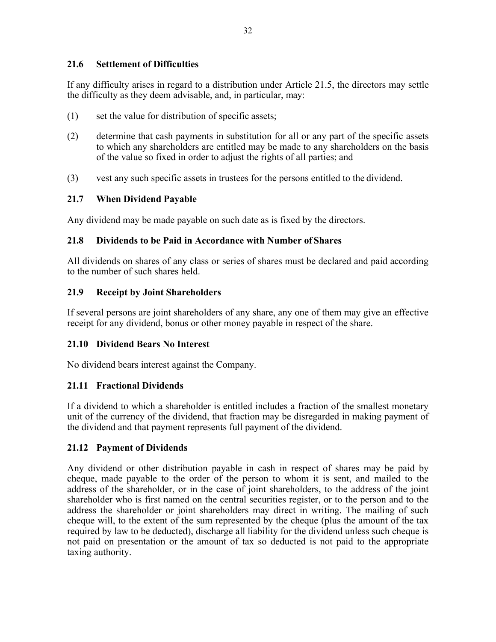# **21.6 Settlement of Difficulties**

If any difficulty arises in regard to a distribution under Article 21.5, the directors may settle the difficulty as they deem advisable, and, in particular, may:

- (1) set the value for distribution of specific assets;
- (2) determine that cash payments in substitution for all or any part of the specific assets to which any shareholders are entitled may be made to any shareholders on the basis of the value so fixed in order to adjust the rights of all parties; and
- (3) vest any such specific assets in trustees for the persons entitled to the dividend.

# **21.7 When Dividend Payable**

Any dividend may be made payable on such date as is fixed by the directors.

### **21.8 Dividends to be Paid in Accordance with Number of Shares**

All dividends on shares of any class or series of shares must be declared and paid according to the number of such shares held.

### **21.9 Receipt by Joint Shareholders**

If several persons are joint shareholders of any share, any one of them may give an effective receipt for any dividend, bonus or other money payable in respect of the share.

# **21.10 Dividend Bears No Interest**

No dividend bears interest against the Company.

# **21.11 Fractional Dividends**

If a dividend to which a shareholder is entitled includes a fraction of the smallest monetary unit of the currency of the dividend, that fraction may be disregarded in making payment of the dividend and that payment represents full payment of the dividend.

# **21.12 Payment of Dividends**

Any dividend or other distribution payable in cash in respect of shares may be paid by cheque, made payable to the order of the person to whom it is sent, and mailed to the address of the shareholder, or in the case of joint shareholders, to the address of the joint shareholder who is first named on the central securities register, or to the person and to the address the shareholder or joint shareholders may direct in writing. The mailing of such cheque will, to the extent of the sum represented by the cheque (plus the amount of the tax required by law to be deducted), discharge all liability for the dividend unless such cheque is not paid on presentation or the amount of tax so deducted is not paid to the appropriate taxing authority.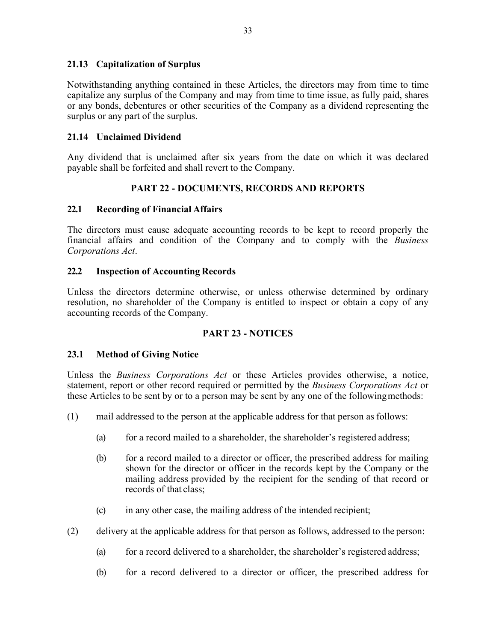### **21.13 Capitalization of Surplus**

Notwithstanding anything contained in these Articles, the directors may from time to time capitalize any surplus of the Company and may from time to time issue, as fully paid, shares or any bonds, debentures or other securities of the Company as a dividend representing the surplus or any part of the surplus.

### **21.14 Unclaimed Dividend**

Any dividend that is unclaimed after six years from the date on which it was declared payable shall be forfeited and shall revert to the Company.

# **PART 22 - DOCUMENTS, RECORDS AND REPORTS**

### **22.1 Recording of Financial Affairs**

The directors must cause adequate accounting records to be kept to record properly the financial affairs and condition of the Company and to comply with the *Business Corporations Act*.

### **22.2 Inspection of Accounting Records**

Unless the directors determine otherwise, or unless otherwise determined by ordinary resolution, no shareholder of the Company is entitled to inspect or obtain a copy of any accounting records of the Company.

# **PART 23 - NOTICES**

#### **23.1 Method of Giving Notice**

Unless the *Business Corporations Act* or these Articles provides otherwise, a notice, statement, report or other record required or permitted by the *Business Corporations Act* or these Articles to be sent by or to a person may be sent by any one of the followingmethods:

- (1) mail addressed to the person at the applicable address for that person as follows:
	- (a) for a record mailed to a shareholder, the shareholder's registered address;
	- (b) for a record mailed to a director or officer, the prescribed address for mailing shown for the director or officer in the records kept by the Company or the mailing address provided by the recipient for the sending of that record or records of that class;
	- (c) in any other case, the mailing address of the intended recipient;
- (2) delivery at the applicable address for that person as follows, addressed to the person:
	- (a) for a record delivered to a shareholder, the shareholder's registered address;
	- (b) for a record delivered to a director or officer, the prescribed address for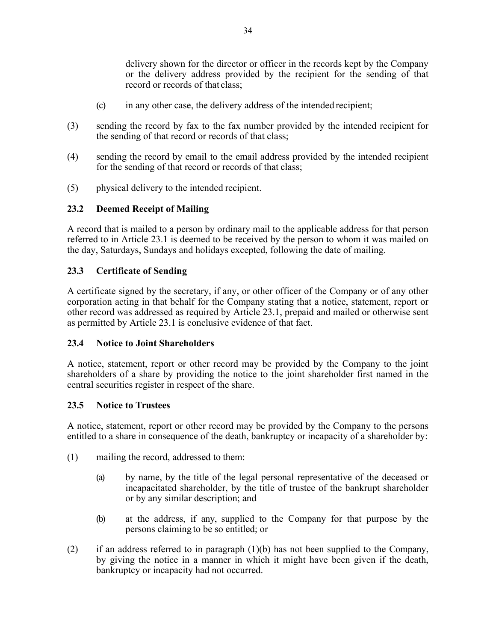delivery shown for the director or officer in the records kept by the Company or the delivery address provided by the recipient for the sending of that record or records of that class;

- (c) in any other case, the delivery address of the intended recipient;
- (3) sending the record by fax to the fax number provided by the intended recipient for the sending of that record or records of that class;
- (4) sending the record by email to the email address provided by the intended recipient for the sending of that record or records of that class;
- (5) physical delivery to the intended recipient.

### **23.2 Deemed Receipt of Mailing**

A record that is mailed to a person by ordinary mail to the applicable address for that person referred to in Article 23.1 is deemed to be received by the person to whom it was mailed on the day, Saturdays, Sundays and holidays excepted, following the date of mailing.

### **23.3 Certificate of Sending**

A certificate signed by the secretary, if any, or other officer of the Company or of any other corporation acting in that behalf for the Company stating that a notice, statement, report or other record was addressed as required by Article 23.1, prepaid and mailed or otherwise sent as permitted by Article 23.1 is conclusive evidence of that fact.

#### **23.4 Notice to Joint Shareholders**

A notice, statement, report or other record may be provided by the Company to the joint shareholders of a share by providing the notice to the joint shareholder first named in the central securities register in respect of the share.

#### **23.5 Notice to Trustees**

A notice, statement, report or other record may be provided by the Company to the persons entitled to a share in consequence of the death, bankruptcy or incapacity of a shareholder by:

- (1) mailing the record, addressed to them:
	- (a) by name, by the title of the legal personal representative of the deceased or incapacitated shareholder, by the title of trustee of the bankrupt shareholder or by any similar description; and
	- (b) at the address, if any, supplied to the Company for that purpose by the persons claiming to be so entitled; or
- (2) if an address referred to in paragraph  $(1)(b)$  has not been supplied to the Company, by giving the notice in a manner in which it might have been given if the death, bankruptcy or incapacity had not occurred.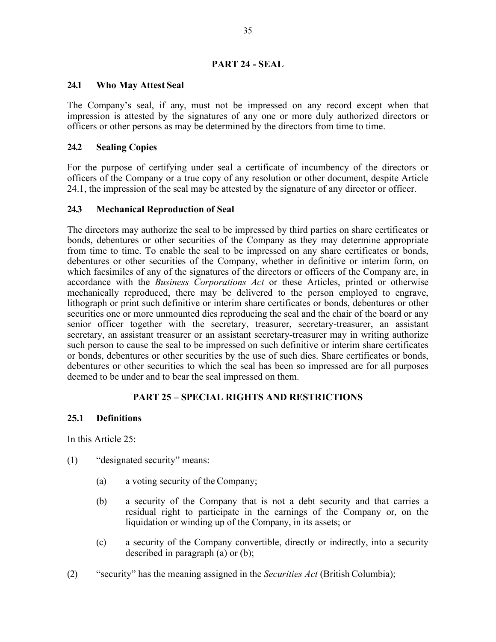#### **PART 24 - SEAL**

#### **24.1 Who May Attest Seal**

The Company's seal, if any, must not be impressed on any record except when that impression is attested by the signatures of any one or more duly authorized directors or officers or other persons as may be determined by the directors from time to time.

### **24.2 Sealing Copies**

For the purpose of certifying under seal a certificate of incumbency of the directors or officers of the Company or a true copy of any resolution or other document, despite Article 24.1, the impression of the seal may be attested by the signature of any director or officer.

#### **24.3 Mechanical Reproduction of Seal**

The directors may authorize the seal to be impressed by third parties on share certificates or bonds, debentures or other securities of the Company as they may determine appropriate from time to time. To enable the seal to be impressed on any share certificates or bonds, debentures or other securities of the Company, whether in definitive or interim form, on which facsimiles of any of the signatures of the directors or officers of the Company are, in accordance with the *Business Corporations Act* or these Articles, printed or otherwise mechanically reproduced, there may be delivered to the person employed to engrave, lithograph or print such definitive or interim share certificates or bonds, debentures or other securities one or more unmounted dies reproducing the seal and the chair of the board or any senior officer together with the secretary, treasurer, secretary-treasurer, an assistant secretary, an assistant treasurer or an assistant secretary-treasurer may in writing authorize such person to cause the seal to be impressed on such definitive or interim share certificates or bonds, debentures or other securities by the use of such dies. Share certificates or bonds, debentures or other securities to which the seal has been so impressed are for all purposes deemed to be under and to bear the seal impressed on them.

# **PART 25 – SPECIAL RIGHTS AND RESTRICTIONS**

#### **25.1 Definitions**

In this Article 25:

- (1) "designated security" means:
	- (a) a voting security of the Company;
	- (b) a security of the Company that is not a debt security and that carries a residual right to participate in the earnings of the Company or, on the liquidation or winding up of the Company, in its assets; or
	- (c) a security of the Company convertible, directly or indirectly, into a security described in paragraph (a) or (b);
- (2) "security" has the meaning assigned in the *Securities Act* (British Columbia);